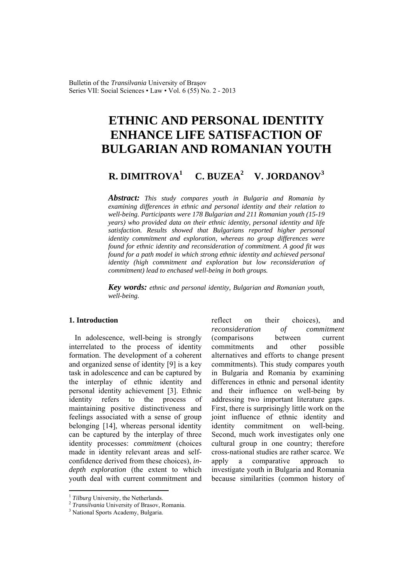Bulletin of the *Transilvania* University of Braşov Series VII: Social Sciences • Law • Vol. 6 (55) No. 2 - 2013

# **ETHNIC AND PERSONAL IDENTITY ENHANCE LIFE SATISFACTION OF BULGARIAN AND ROMANIAN YOUTH**

#### **R. DIMITROVA<sup>1</sup> C. BUZEA2 V. JORDANOV<sup>3</sup>**

*Abstract: This study compares youth in Bulgaria and Romania by examining differences in ethnic and personal identity and their relation to well-being. Participants were 178 Bulgarian and 211 Romanian youth (15-19 years) who provided data on their ethnic identity, personal identity and life satisfaction. Results showed that Bulgarians reported higher personal identity commitment and exploration, whereas no group differences were found for ethnic identity and reconsideration of commitment. A good fit was found for a path model in which strong ethnic identity and achieved personal identity (high commitment and exploration but low reconsideration of commitment) lead to enchased well-being in both groups.* 

*Key words: ethnic and personal identity, Bulgarian and Romanian youth, well-being.*

## **1. Introduction**

In adolescence, well-being is strongly interrelated to the process of identity formation. The development of a coherent and organized sense of identity [9] is a key task in adolescence and can be captured by the interplay of ethnic identity and personal identity achievement [3]. Ethnic identity refers to the process of maintaining positive distinctiveness and feelings associated with a sense of group belonging [14], whereas personal identity can be captured by the interplay of three identity processes: *commitment* (choices made in identity relevant areas and selfconfidence derived from these choices), *indepth exploration* (the extent to which youth deal with current commitment and reflect on their choices), and *reconsideration of commitment* (comparisons between current commitments and other possible alternatives and efforts to change present commitments). This study compares youth in Bulgaria and Romania by examining differences in ethnic and personal identity and their influence on well-being by addressing two important literature gaps. First, there is surprisingly little work on the joint influence of ethnic identity and identity commitment on well-being. Second, much work investigates only one cultural group in one country; therefore cross-national studies are rather scarce. We apply a comparative approach to investigate youth in Bulgaria and Romania because similarities (common history of

 $\overline{a}$ 

<sup>&</sup>lt;sup>1</sup> *Tilburg* University, the Netherlands.<br><sup>2</sup> *Transilvania* University of Brasov, Romania.

<sup>&</sup>lt;sup>3</sup> National Sports Academy, Bulgaria.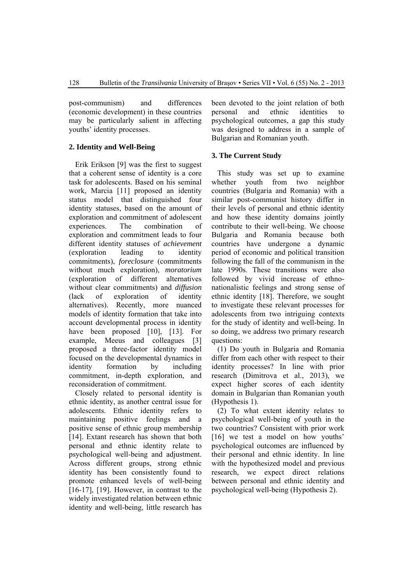post-communism) and differences (economic development) in these countries may be particularly salient in affecting youths' identity processes.

# **2. Identity and Well-Being**

Erik Erikson [9] was the first to suggest that a coherent sense of identity is a core task for adolescents. Based on his seminal work, Marcia [11] proposed an identity status model that distinguished four identity statuses, based on the amount of exploration and commitment of adolescent experiences. The combination of exploration and commitment leads to four different identity statuses of *achievement* (exploration leading to identity commitments), *foreclosure* (commitments without much exploration), *moratorium* (exploration of different alternatives without clear commitments) and *diffusion* (lack of exploration of identity alternatives). Recently, more nuanced models of identity formation that take into account developmental process in identity have been proposed [10], [13]. For example, Meeus and colleagues [3] proposed a three-factor identity model focused on the developmental dynamics in identity formation by including commitment, in-depth exploration, and reconsideration of commitment.

Closely related to personal identity is ethnic identity, as another central issue for adolescents. Ethnic identity refers to maintaining positive feelings and a positive sense of ethnic group membership [14]. Extant research has shown that both personal and ethnic identity relate to psychological well-being and adjustment. Across different groups, strong ethnic identity has been consistently found to promote enhanced levels of well-being [16-17], [19]. However, in contrast to the widely investigated relation between ethnic identity and well-being, little research has

been devoted to the joint relation of both personal and ethnic identities to psychological outcomes, a gap this study was designed to address in a sample of Bulgarian and Romanian youth.

# **3. The Current Study**

This study was set up to examine whether youth from two neighbor countries (Bulgaria and Romania) with a similar post-communist history differ in their levels of personal and ethnic identity and how these identity domains jointly contribute to their well-being. We choose Bulgaria and Romania because both countries have undergone a dynamic period of economic and political transition following the fall of the communism in the late 1990s. These transitions were also followed by vivid increase of ethnonationalistic feelings and strong sense of ethnic identity [18]. Therefore, we sought to investigate these relevant processes for adolescents from two intriguing contexts for the study of identity and well-being. In so doing, we address two primary research questions:

(1) Do youth in Bulgaria and Romania differ from each other with respect to their identity processes? In line with prior research (Dimitrova et al., 2013), we expect higher scores of each identity domain in Bulgarian than Romanian youth (Hypothesis 1).

(2) To what extent identity relates to psychological well-being of youth in the two countries? Consistent with prior work [16] we test a model on how youths' psychological outcomes are influenced by their personal and ethnic identity. In line with the hypothesized model and previous research, we expect direct relations between personal and ethnic identity and psychological well-being (Hypothesis 2).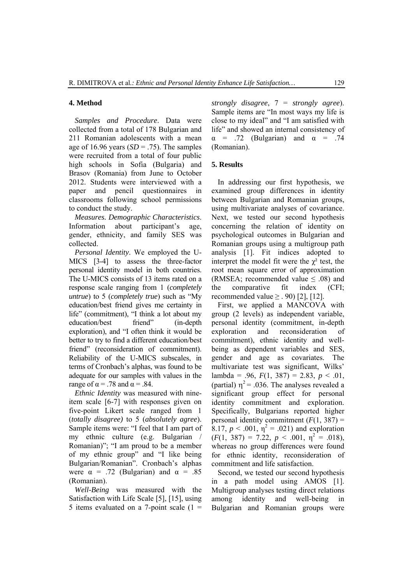#### **4. Method**

*Samples and Procedure*. Data were collected from a total of 178 Bulgarian and 211 Romanian adolescents with a mean age of 16.96 years  $(SD = .75)$ . The samples were recruited from a total of four public high schools in Sofia (Bulgaria) and Brasov (Romania) from June to October 2012. Students were interviewed with a paper and pencil questionnaires in classrooms following school permissions to conduct the study.

*Measures. Demographic Characteristics*. Information about participant's age, gender, ethnicity, and family SES was collected.

*Personal Identity*. We employed the U-MICS [3-4] to assess the three-factor personal identity model in both countries. The U-MICS consists of 13 items rated on a response scale ranging from 1 (*completely untrue*) to 5 (*completely true*) such as "My education/best friend gives me certainty in life" (commitment), "I think a lot about my education/best friend" (in-depth exploration), and "I often think it would be better to try to find a different education/best friend" (reconsideration of commitment). Reliability of the U-MICS subscales, in terms of Cronbach's alphas, was found to be adequate for our samples with values in the range of  $\alpha$  = .78 and  $\alpha$  = .84.

*Ethnic Identity* was measured with nineitem scale [6-7] with responses given on five-point Likert scale ranged from 1 (*totally disagree)* to 5 (*absolutely agree*). Sample items were: "I feel that I am part of my ethnic culture (e.g. Bulgarian / Romanian)"; "I am proud to be a member of my ethnic group" and "I like being Bulgarian/Romanian". Cronbach's alphas were  $\alpha$  = .72 (Bulgarian) and  $\alpha$  = .85 (Romanian).

*Well-Being* was measured with the Satisfaction with Life Scale [5], [15], using 5 items evaluated on a 7-point scale  $(1 =$  *strongly disagree*, 7 = *strongly agree*). Sample items are "In most ways my life is close to my ideal" and "I am satisfied with life" and showed an internal consistency of  $\alpha$  = .72 (Bulgarian) and  $\alpha$  = .74 (Romanian).

# **5. Results**

In addressing our first hypothesis, we examined group differences in identity between Bulgarian and Romanian groups, using multivariate analyses of covariance. Next, we tested our second hypothesis concerning the relation of identity on psychological outcomes in Bulgarian and Romanian groups using a multigroup path analysis [1]. Fit indices adopted to interpret the model fit were the  $\chi^2$  test, the root mean square error of approximation (RMSEA: recommended value  $\leq$  0.08) and the comparative fit index (CFI; recommended value  $\geq$  . 90) [2], [12].

First, we applied a MANCOVA with group (2 levels) as independent variable, personal identity (commitment, in-depth exploration and reconsideration of commitment), ethnic identity and wellbeing as dependent variables and SES, gender and age as covariates. The multivariate test was significant, Wilks' lambda = .96,  $F(1, 387) = 2.83$ ,  $p < .01$ , (partial)  $\eta^2$  = .036. The analyses revealed a significant group effect for personal identity commitment and exploration. Specifically, Bulgarians reported higher personal identity commitment  $(F(1, 387))$  = 8.17,  $p < .001$ ,  $\eta^2 = .021$ ) and exploration  $(F(1, 387) = 7.22, p < .001, \eta^2 = .018),$ whereas no group differences were found for ethnic identity, reconsideration of commitment and life satisfaction.

Second, we tested our second hypothesis in a path model using AMOS [1]. Multigroup analyses testing direct relations among identity and well-being in Bulgarian and Romanian groups were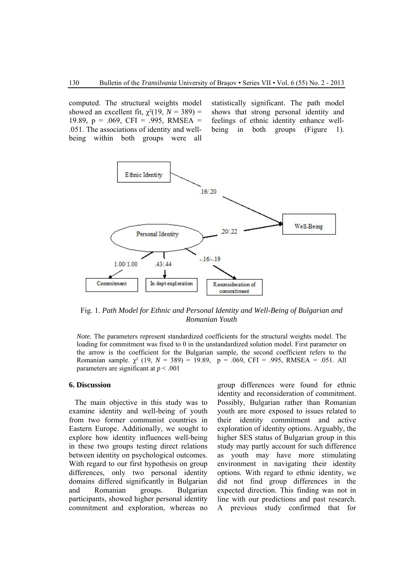computed. The structural weights model showed an excellent fit,  $\chi^2(19, N = 389)$  = 19.89, p = .069, CFI = .995, RMSEA = .051. The associations of identity and wellbeing within both groups were all

statistically significant. The path model shows that strong personal identity and feelings of ethnic identity enhance wellbeing in both groups (Figure 1).



Fig. 1. *Path Model for Ethnic and Personal Identity and Well-Being of Bulgarian and Romanian Youth* 

*Note.* The parameters represent standardized coefficients for the structural weights model. The loading for commitment was fixed to 0 in the unstandardized solution model. First parameter on the arrow is the coefficient for the Bulgarian sample, the second coefficient refers to the Romanian sample.  $\chi^2$  (19,  $N = 389$ ) = 19.89, p = .069, CFI = .995, RMSEA = .051. All parameters are significant at *p* < .001

### **6. Discussion**

The main objective in this study was to examine identity and well-being of youth from two former communist countries in Eastern Europe. Additionally, we sought to explore how identity influences well-being in these two groups testing direct relations between identity on psychological outcomes. With regard to our first hypothesis on group differences, only two personal identity domains differed significantly in Bulgarian and Romanian groups. Bulgarian participants, showed higher personal identity commitment and exploration, whereas no group differences were found for ethnic identity and reconsideration of commitment. Possibly, Bulgarian rather than Romanian youth are more exposed to issues related to their identity commitment and active exploration of identity options. Arguably, the higher SES status of Bulgarian group in this study may partly account for such difference as youth may have more stimulating environment in navigating their identity options. With regard to ethnic identity, we did not find group differences in the expected direction. This finding was not in line with our predictions and past research. A previous study confirmed that for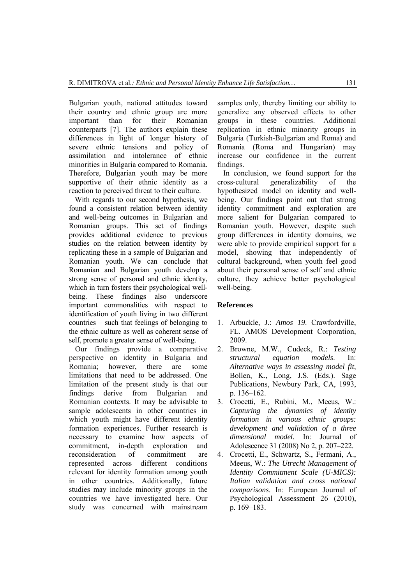Bulgarian youth, national attitudes toward their country and ethnic group are more important than for their Romanian counterparts [7]. The authors explain these differences in light of longer history of severe ethnic tensions and policy of assimilation and intolerance of ethnic minorities in Bulgaria compared to Romania. Therefore, Bulgarian youth may be more supportive of their ethnic identity as a reaction to perceived threat to their culture.

With regards to our second hypothesis, we found a consistent relation between identity and well-being outcomes in Bulgarian and Romanian groups. This set of findings provides additional evidence to previous studies on the relation between identity by replicating these in a sample of Bulgarian and Romanian youth. We can conclude that Romanian and Bulgarian youth develop a strong sense of personal and ethnic identity, which in turn fosters their psychological wellbeing. These findings also underscore important commonalities with respect to identification of youth living in two different countries – such that feelings of belonging to the ethnic culture as well as coherent sense of self, promote a greater sense of well-being.

Our findings provide a comparative perspective on identity in Bulgaria and Romania; however, there are some limitations that need to be addressed. One limitation of the present study is that our findings derive from Bulgarian and Romanian contexts. It may be advisable to sample adolescents in other countries in which youth might have different identity formation experiences. Further research is necessary to examine how aspects of commitment, in-depth exploration and reconsideration of commitment are represented across different conditions relevant for identity formation among youth in other countries. Additionally, future studies may include minority groups in the countries we have investigated here. Our study was concerned with mainstream samples only, thereby limiting our ability to generalize any observed effects to other groups in these countries. Additional replication in ethnic minority groups in Bulgaria (Turkish-Bulgarian and Roma) and Romania (Roma and Hungarian) may increase our confidence in the current findings.

In conclusion, we found support for the cross-cultural generalizability of the hypothesized model on identity and wellbeing. Our findings point out that strong identity commitment and exploration are more salient for Bulgarian compared to Romanian youth. However, despite such group differences in identity domains, we were able to provide empirical support for a model, showing that independently of cultural background, when youth feel good about their personal sense of self and ethnic culture, they achieve better psychological well-being.

# **References**

- 1. Arbuckle, J.: *Amos 19*. Crawfordville, FL. AMOS Development Corporation, 2009.
- 2. Browne, M.W., Cudeck, R.: *Testing structural equation models*. In: *Alternative ways in assessing model fit*, Bollen, K., Long, J.S. (Eds.). Sage Publications, Newbury Park, CA, 1993, p. 136–162.
- 3. Crocetti, E., Rubini, M., Meeus, W.: *Capturing the dynamics of identity formation in various ethnic groups: development and validation of a three dimensional model*. In: Journal of Adolescence 31 (2008) No 2, p. 207–222.
- 4. Crocetti, E., Schwartz, S., Fermani, A., Meeus, W.: *The Utrecht Management of Identity Commitment Scale (U-MICS): Italian validation and cross national comparisons*. In: European Journal of Psychological Assessment 26 (2010), p. 169–183.